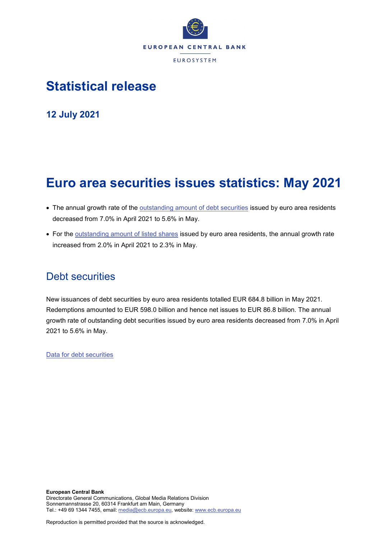

# **Statistical release**

**12 July 2021**

# **Euro area securities issues statistics: May 2021**

- The annual growth rate of the **outstanding amount of debt securities** issued by euro area residents decreased from 7.0% in April 2021 to 5.6% in May.
- For the [outstanding amount of listed shares](http://sdw.ecb.europa.eu/quickview.do?SERIES_KEY=130.SEC.M.I8.1000.F51100.M.I.Z01.A.Z) issued by euro area residents, the annual growth rate increased from 2.0% in April 2021 to 2.3% in May.

# Debt securities

New issuances of debt securities by euro area residents totalled EUR 684.8 billion in May 2021. Redemptions amounted to EUR 598.0 billion and hence net issues to EUR 86.8 billion. The annual growth rate of outstanding debt securities issued by euro area residents decreased from 7.0% in April 2021 to 5.6% in May.

[Data for debt securities](http://sdw.ecb.europa.eu/browseSelection.do?type=series&q=SEC.M.I8.1000.F33000.N.2.Z01.E.Z%2c+SEC.M.I8.1000.F33000.N.3.Z01.E.Z%2c+SEC.M.I8.1000.F33000.N.4.Z01.E.Z%2c+SEC.M.I8.1000.F33000.N.I.Z01.A.Z&node=SEARCHRESULTS&ec=&oc=&rc=&cv=&pb=&dc=&df=)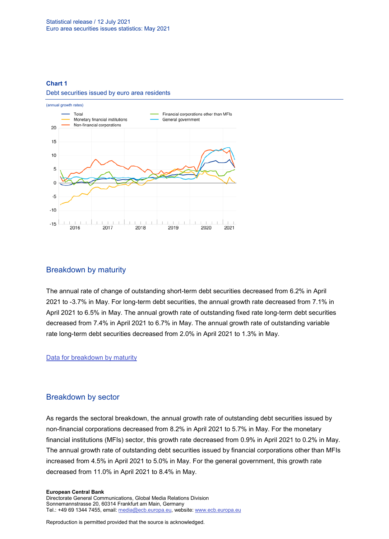### **Chart 1**

### Debt securities issued by euro area residents



# Breakdown by maturity

The annual rate of change of outstanding short-term debt securities decreased from 6.2% in April 2021 to -3.7% in May. For long-term debt securities, the annual growth rate decreased from 7.1% in April 2021 to 6.5% in May. The annual growth rate of outstanding fixed rate long-term debt securities decreased from 7.4% in April 2021 to 6.7% in May. The annual growth rate of outstanding variable rate long-term debt securities decreased from 2.0% in April 2021 to 1.3% in May.

### [Data for breakdown by maturity](http://sdw.ecb.europa.eu/browseSelection.do?type=series&q=SEC.M.I8.1000.F33100.N.I.Z01.A.Z%2c+SEC.M.I8.1000.F33200.N.I.Z01.A.Z%2c+SEC.M.I8.1000.F33201.N.I.Z01.A.Z%2c+SEC.M.I8.1000.F33202.N.I.Z01.A.Z&node=SEARCHRESULTS&ec=&oc=&rc=&cv=&pb=&dc=&df=)

# Breakdown by sector

As regards the sectoral breakdown, the annual growth rate of outstanding debt securities issued by non-financial corporations decreased from 8.2% in April 2021 to 5.7% in May. For the monetary financial institutions (MFIs) sector, this growth rate decreased from 0.9% in April 2021 to 0.2% in May. The annual growth rate of outstanding debt securities issued by financial corporations other than MFIs increased from 4.5% in April 2021 to 5.0% in May. For the general government, this growth rate decreased from 11.0% in April 2021 to 8.4% in May.

#### **European Central Bank**

Directorate General Communications, Global Media Relations Division Sonnemannstrasse 20, 60314 Frankfurt am Main, Germany Tel.: +49 69 1344 7455, email[: media@ecb.europa.eu,](mailto:media@ecb.europa.eu) website: www.ecb.europa.eu

Reproduction is permitted provided that the source is acknowledged.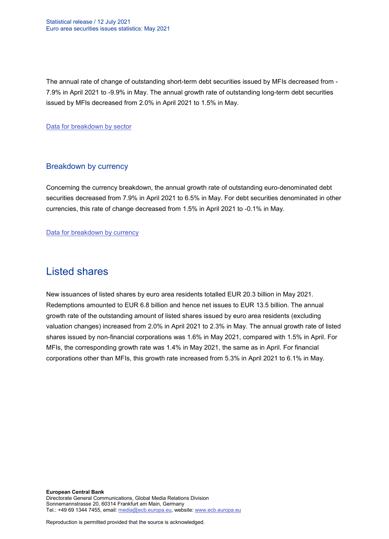The annual rate of change of outstanding short-term debt securities issued by MFIs decreased from - 7.9% in April 2021 to -9.9% in May. The annual growth rate of outstanding long-term debt securities issued by MFIs decreased from 2.0% in April 2021 to 1.5% in May.

[Data for breakdown by sector](http://sdw.ecb.europa.eu/browseSelection.do?type=series&q=SEC.M.I8.1100.F33000.N.I.Z01.A.Z%2cSEC.M.I8.1220.F33000.N.I.Z01.A.Z%2cSEC.M.I8.1235.F33000.N.I.Z01.A.Z%2cSEC.M.I8.1300.F33000.N.I.Z01.A.Z%2cSEC.M.I8.1220.F33100.N.I.Z01.A.Z%2cSEC.M.I8.1220.F33200.N.I.Z01.A.Z&node=SEARCHRESULTS&ec=&oc=&rc=&cv=&pb=&dc=&df=)

# Breakdown by currency

Concerning the currency breakdown, the annual growth rate of outstanding euro-denominated debt securities decreased from 7.9% in April 2021 to 6.5% in May. For debt securities denominated in other currencies, this rate of change decreased from 1.5% in April 2021 to -0.1% in May.

[Data for breakdown by currency](http://sdw.ecb.europa.eu/browseSelection.do?type=series&q=SEC.M.I8.1000.F33000.N.I.EUR.A.Z%2cSEC.M.I8.1000.F33000.N.I.Z06.A.Z&node=SEARCHRESULTS&ec=&oc=&rc=&cv=&pb=&dc=&df=)

# Listed shares

New issuances of listed shares by euro area residents totalled EUR 20.3 billion in May 2021. Redemptions amounted to EUR 6.8 billion and hence net issues to EUR 13.5 billion. The annual growth rate of the outstanding amount of listed shares issued by euro area residents (excluding valuation changes) increased from 2.0% in April 2021 to 2.3% in May. The annual growth rate of listed shares issued by non-financial corporations was 1.6% in May 2021, compared with 1.5% in April. For MFIs, the corresponding growth rate was 1.4% in May 2021, the same as in April. For financial corporations other than MFIs, this growth rate increased from 5.3% in April 2021 to 6.1% in May.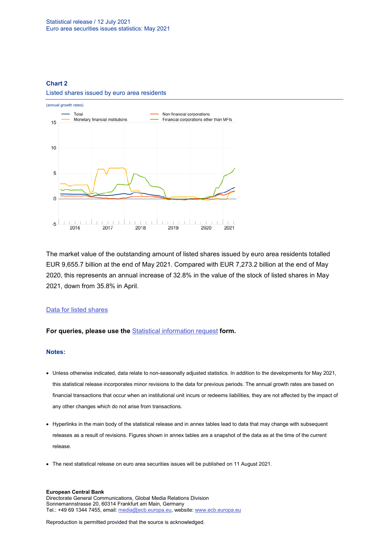# **Chart 2** Listed shares issued by euro area residents



The market value of the outstanding amount of listed shares issued by euro area residents totalled EUR 9,655.7 billion at the end of May 2021. Compared with EUR 7,273.2 billion at the end of May 2020, this represents an annual increase of 32.8% in the value of the stock of listed shares in May 2021, down from 35.8% in April.

# [Data for listed shares](http://sdw.ecb.europa.eu/browseSelection.do?type=series&q=SEC.M.I8.1000.F51100.M.2.Z01.E.Z%2cSEC.M.I8.1000.F51100.M.3.Z01.E.Z%2cSEC.M.I8.1000.F51100.M.4.Z01.E.Z%2cSEC.M.I8.1000.F51100.M.I.Z01.A.Z%2cSEC.M.I8.1100.F51100.M.I.Z01.A.Z%2cSEC.M.I8.1220.F51100.M.I.Z01.A.Z%2cSEC.M.I8.1235.F51100.M.I.Z01.A.Z%2cSEC.M.I8.1000.F51100.M.1.Z01.E.Z&node=SEARCHRESULTS&ec=&oc=&rc=&cv=&pb=&dc=&df=)

# **For queries, please use the** [Statistical information request](https://ecb-registration.escb.eu/statistical-information) **form.**

### **Notes:**

- Unless otherwise indicated, data relate to non-seasonally adjusted statistics. In addition to the developments for May 2021, this statistical release incorporates minor revisions to the data for previous periods. The annual growth rates are based on financial transactions that occur when an institutional unit incurs or redeems liabilities, they are not affected by the impact of any other changes which do not arise from transactions.
- Hyperlinks in the main body of the statistical release and in annex tables lead to data that may change with subsequent releases as a result of revisions. Figures shown in annex tables are a snapshot of the data as at the time of the current release.
- The next statistical release on euro area securities issues will be published on 11 August 2021.

#### **European Central Bank**

Directorate General Communications, Global Media Relations Division Sonnemannstrasse 20, 60314 Frankfurt am Main, Germany Tel.: +49 69 1344 7455, email[: media@ecb.europa.eu,](mailto:media@ecb.europa.eu) website: www.ecb.europa.eu

Reproduction is permitted provided that the source is acknowledged.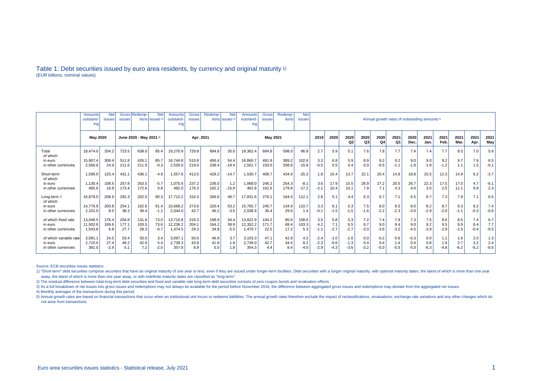### Table 1: Debt securities issued by euro area residents, by currency and original maturity 1) (EUR billions; nominal values)

|                        | Amounts         | <b>Net</b>    |                         | Gross Redemp- | <b>Net</b>                 | Amounts   | Gross         | Redemp- | <b>Net</b>                | <b>Amounts</b> | <b>Gross</b> | Redemp- | <b>Net</b>    |        |        |        |        |        |        |                                                          |        |        |        |        |        |  |  |
|------------------------|-----------------|---------------|-------------------------|---------------|----------------------------|-----------|---------------|---------|---------------------------|----------------|--------------|---------|---------------|--------|--------|--------|--------|--------|--------|----------------------------------------------------------|--------|--------|--------|--------|--------|--|--|
|                        | outstand        | <b>issues</b> | <b>issues</b>           |               | tions lissues <sup>3</sup> | outstand- | <b>issues</b> |         | tions issues <sup>3</sup> | outstand-      | issues       | tions   | <b>issues</b> |        |        |        |        |        |        | Annual growth rates of outstanding amounts <sup>5)</sup> |        |        |        |        |        |  |  |
|                        | ing             |               |                         |               |                            | ing       |               |         |                           | ına            |              |         |               |        |        |        |        |        |        |                                                          |        |        |        |        |        |  |  |
|                        |                 |               |                         |               |                            |           |               |         |                           |                |              |         |               |        |        |        |        |        |        |                                                          |        |        |        |        |        |  |  |
|                        |                 |               |                         |               |                            |           |               |         |                           |                |              |         |               |        |        |        |        |        |        |                                                          |        |        |        |        |        |  |  |
|                        | <b>May 2020</b> |               | June 2020 - May 2021 4) |               |                            | Apr. 2021 |               |         | <b>May 2021</b>           |                |              |         | 2019          | 2020   | 2020   | 2020   | 2020   | 2021   | 2020   | 2021                                                     | 2021   | 2021   | 2021   | 2021   |        |  |  |
|                        |                 |               |                         |               |                            |           |               |         |                           |                |              |         |               |        |        | Q3     | Q4     | Q1     | Dec.   | Jan.                                                     | Feb.   | Mar.   | Apr.   | May    |        |  |  |
| Total<br>of which      | 18.474.0        | 334.2         | 723.5                   | 638.0         | 85.4                       | 19,270.9  | 729.8         | 694.8   | 35.0                      | 19,362.4       | 684.8        | 598.0   | 86.8          | 2.7    | 5.9    | 5.1    | 7.6    | 7.8    | 7.7    | 7.4                                                      | 7.4    | 7.7    | 8.5    | 7.0    | 5.6    |  |  |
| in euro                | 15,907.4        | 309.4         | 511.8                   | 426.1         | 85.7                       | 16,744.8  | 510.8         | 456.4   | 54.4                      | 16,860.7       | 491.8        | 389.2   | 102.6         | 3.3    | 6.8    | 5.9    | 8.9    | 9.2    | 9.2    | 9.0                                                      | 9.0    | 9.2    | 9.7    | 7.9    | 6.5    |  |  |
| in other currencies    | 2.566.6         | 24.9          | 211.6                   | 211.9         | $-0.3$                     | 2,526.0   | 219.0         | 238.4   | $-19.4$                   | 2,501.7        | 193.0        | 208.8   | $-15.8$       | $-0.5$ | 0.5    | 0.4    | 0.0    | $-0.5$ | $-1.1$ | $-1.8$                                                   | $-1.8$ | $-1.2$ | 1.1    | 1.5    | $-0.1$ |  |  |
|                        |                 |               |                         |               |                            |           |               |         |                           |                |              |         |               |        |        |        |        |        |        |                                                          |        |        |        |        |        |  |  |
| Short-term             | 1,596.0         | 125.4         | 431.                    | 436.1         | $-4.9$                     | 1,557.6   | 413.5         | 428.2   | $-14.7$                   | 1,530.7        | 408.7        | 434.0   | $-25.3$       | 1.8    | 15.4   | 13.7   | 22.7   | 20.4   | 14.8   | 18.8                                                     | 15.5   | 12.3   | 14.9   | 6.2    | $-3.7$ |  |  |
| of which               |                 |               |                         |               |                            |           |               |         |                           |                |              |         |               |        |        |        |        |        |        |                                                          |        |        |        |        |        |  |  |
| in euro                | 1.130.4         | 108.5         | 257.8                   | 263.5         | $-5.7$                     | 1,075.6   | 237.2         | 236.0   | 1.2                       | 1,068.0        | 246.2        | 254.3   | $-8.1$        | 3.6    | 17.9   | 15.5   | 28.9   | 27.2   | 20.5   | 26.7                                                     | 22.3   | 17.5   | 17.0   | 4.7    | $-6.1$ |  |  |
| in other currencies    | 465.6           | 16.8          | 173.4                   | 172.6         | 0.8                        | 482.0     | 176.3         | 192.2   | $-15.9$                   | 462.8          | 162.6        | 179.8   | $-17.2$       | $-2.1$ | 10.4   | 10.1   | 7.9    | 7.1    | 4.3    | 4.0                                                      | 3.0    | 2.5    | 11.1   | 9.9    | 2.3    |  |  |
|                        |                 |               |                         |               |                            |           |               |         |                           |                |              |         |               |        |        |        |        |        |        |                                                          |        |        |        |        |        |  |  |
| Long-term 2)           | 16.878.0        | 208.9         | 292.3                   | 202.0         | 90.3                       | 17.713.2  | 316.3         | 266.6   | 49.7                      | 17,831.6       | 276.1        | 164.0   | 112.1         | 2.8    | 5.1    | 4.4    | 6.3    | 6.7    | 7.1    | 6.5                                                      | 6.7    | 7.3    | 7.9    | 7.1    | 6.5    |  |  |
| of which               |                 |               |                         |               |                            |           |               |         |                           |                |              |         |               |        |        |        |        |        |        |                                                          |        |        |        |        |        |  |  |
| in euro                | 14.776.9        | 200.8         | 254.1                   | 162.6         | 91.4                       | 15,669.2  | 273.6         | 220.4   | 53.2                      | 15,792.7       | 245.7        | 134.9   | 110.7         | 3.3    | 6.1    | 5.3    | 7.5    | 8.0    | 8.5    | 8.0                                                      | 8.2    | 8.7    | 9.3    | 8.2    | 7.4    |  |  |
| in other currencies    | 2.101.0         | 8.0           | 38.3                    | 39.4          | $-1.1$                     | 2,044.0   | 42.7          | 46.2    | $-3.5$                    | 2,038.9        | 30.4         | 29.0    | 1.4           | $-0.1$ | $-1.5$ | $-1.5$ | $-1.6$ | $-2.2$ | $-2.3$ | $-3.0$                                                   | $-2.9$ | $-2.0$ | $-1.1$ | $-0.3$ | $-0.6$ |  |  |
|                        |                 |               |                         |               |                            |           |               |         |                           |                |              |         |               |        |        |        |        |        |        |                                                          |        |        |        |        |        |  |  |
| of which fixed rate    | 13.046.5        | 176.4         | 204.8                   | 131.8         | 73.0                       | 13.710.8  | 233.3         | 198.9   | 34.4                      | 13.822.9       | 194.2        | 85.6    | 108.6         | 3.5    | 5.8    | 5.3    | 7.2    | 7.4    | 7.8    | 7.3                                                      | 7.5    | 8.0    | 8.5    | 7.4    | 6.7    |  |  |
| in euro                | 11.502.6        | 169.6         | 177.1                   | 103.5         | 73.6                       | 12,236.2  | 204.1         | 164.2   | 39.9                      | 12,352.2       | 171.7        | 68.4    | 103.3         | 4.2    | 7.1    | 6.5    | 8.7    | 9.0    | 9.4    | 9.0                                                      | 9.2    | 9.5    | 9.9    | 8.4    | 7.7    |  |  |
| in other currencies    | 1.543.8         | 6.8           | 27.7                    | 28.3          | $-0.7$                     | 1.474.5   | 29.3          | 34.8    | $-5.5$                    | 1.470.7        | 22.5         | 17.2    | 5.3           | $-1.1$ | $-2.7$ | $-2.7$ | $-3.0$ | $-3.6$ | $-3.2$ | $-4.5$                                                   | $-3.9$ | $-2.9$ | $-1.5$ | $-0.4$ | $-0.5$ |  |  |
|                        |                 |               |                         |               |                            |           |               |         |                           |                |              |         |               |        |        |        |        |        |        |                                                          |        |        |        |        |        |  |  |
| of which variable rate | 3.091.1         | 24.5          | 53.4                    | 50.0          | 3.4                        | 3,097.1   | 50.6          | 46.9    | 3.7                       | 3,103.3        | 47.1         | 42.9    | 4.2           | $-2.4$ | $-1.0$ | $-1.6$ | 0.0    | $-0.2$ | 0.6    | $-0.3$                                                   | 0.0    | 1.1    | 1.6    | 2.0    | 1.3    |  |  |
| in euro                | 2,710.0         | 27.4          | 48.2                    | 42.9          | 5.4                        | 2,739.3   | 43.8          | 41.8    | 1.9                       | 2,749.0        | 42.7         | 34.5    | 8.2           | $-2.3$ | $-0.6$ | $-1.3$ | 0.4    | 0.4    | 1.4    | 0.4                                                      | 0.8    | 1.9    | 2.7    | 3.2    | 2.4    |  |  |
| in other currencies    | 381.0           | $-2.9$        | 5.1                     | 7.2           | $-2.0$                     | 357.8     | 6.9           | 5.0     | 1.8                       | 354.3          | 4.4          | 8.4     | $-4.0$        | $-2.9$ | $-4.3$ | $-3.6$ | $-3.2$ | $-5.0$ | $-5.5$ | $-5.0$                                                   | $-6.3$ | $-4.8$ | $-6.2$ | $-6.2$ | $-6.6$ |  |  |
|                        |                 |               |                         |               |                            |           |               |         |                           |                |              |         |               |        |        |        |        |        |        |                                                          |        |        |        |        |        |  |  |

Source: ECB securities issues statistics.

1) "Short-term" debt securities comprise securities that have an original maturity of one year or less, even if they are issued under longer-term facilities. Debt securities with a longer original maturity, with optional m away, the latest of which is more than one year away, or with indefinite maturity dates are classified as "long-term".

2) The residual difference between total long-term debt securities and fixed and variable rate long-term debt securities consists of zero coupon bonds and revaluation effects.

3) As a full breakdown of net issues into gross issues and redemptions may not always be available for the period before November 2016, the difference between aggregated gross issues and redemptions may deviate from the ag

4) Monthly averages of the transactions during this period.

5) Annual growth rates are based on financial transactions that occur when an institutional unit incurs or redeems liabilities. The annual growth rates therefore exclude the impact of reclassifications, revaluations, excha not arise from transactions.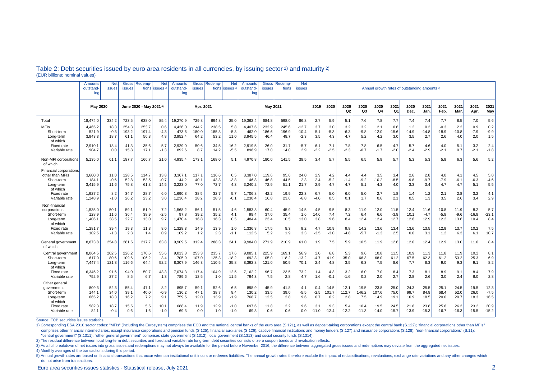|                                                                                         | Amounts<br>outstand-<br>ing | <b>Net</b><br>issues   | Gross<br><b>issues</b>  | Redemp-<br>tions       | <b>Net</b><br>issues <sup>3</sup> | Amounts<br>outstand<br>ing  | <b>Gross</b><br><b>issues</b> | <b>Redemp-</b>          | <b>Net</b><br>tions lissues <sup>3</sup> | Amounts<br>outstand-<br>ing | <b>Gross</b><br><b>issues</b> | Redemp<br>tions        | <b>Net</b><br><b>issues</b>  | Annual growth rates of outstanding amounts <sup>5)</sup> |                        |                      |                      |                       |                        |                       |                        |                          |                        |                        |                        |
|-----------------------------------------------------------------------------------------|-----------------------------|------------------------|-------------------------|------------------------|-----------------------------------|-----------------------------|-------------------------------|-------------------------|------------------------------------------|-----------------------------|-------------------------------|------------------------|------------------------------|----------------------------------------------------------|------------------------|----------------------|----------------------|-----------------------|------------------------|-----------------------|------------------------|--------------------------|------------------------|------------------------|------------------------|
|                                                                                         | <b>May 2020</b>             |                        | June 2020 - May 2021 4) |                        |                                   | Apr. 2021                   |                               |                         | <b>May 2021</b>                          |                             |                               |                        | 2019                         | 2020                                                     | 2020<br>Q <sub>2</sub> | 2020<br>Q3           | 2020<br>Q4           | 2021<br>Q1            | 2020<br>Dec.           | 2021<br>Jan           | 2021<br>Feb.           | 2021<br>Mar              | 2021<br>Apr.           | 2021<br>May            |                        |
| Total                                                                                   | 18.474.0                    | 334.2                  | 723.5                   | 638.0                  | 85.4                              | 9.270.9                     | 729.8                         | 694.8                   | 35.0                                     | 19.362.4                    | 684.8                         | 598.0                  | 86.8                         | 2.7                                                      | 5.9                    | 5.1                  | 7.6                  | 7.8                   | 7.7                    | 7.4                   | 7.4                    | 7.7                      | 8.5                    | 7.0                    | 5.6                    |
| <b>MFIs</b><br>Short-term<br>Long-term<br>of which                                      | 4,465.2<br>521.9<br>3,943.3 | 18.3<br>$-0.3$<br>18.7 | 254.3<br>193.2<br>61.1  | 253.7<br>197.4<br>56.3 | 0.6<br>$-4.3$<br>4.8              | 4,426.0<br>473.6<br>3,952.4 | 244.2<br>180.0<br>64.2        | 238.5<br>185.3<br>53.2  | 5.8<br>$-5.3$<br>11.0                    | 4,407.6<br>462.0<br>3,945.5 | 232.9<br>186.6<br>46.4        | 245.6<br>196.9<br>48.7 | $-12.7$<br>$-10.4$<br>$-2.3$ | 3.7<br>5.1<br>3.5                                        | 3.0<br>$-5.3$<br>4.3   | 3.2<br>$-6.3$<br>4.7 | 3.2<br>$-9.8$<br>5.2 | 2.1<br>$-12.0$<br>4.2 | 0.6<br>$-15.6$<br>3.0  | 1.2<br>$-14.9$<br>3.5 | 0.3<br>$-14.8$<br>2.7  | $-0.3$<br>$-18.9$<br>2.6 | 2.2<br>$-10.8$<br>4.0  | 0.9<br>$-7.9$<br>2.0   | 0.2<br>$-9.9$<br>1.5   |
| Fixed rate<br>Variable rate                                                             | 2.910.1<br>904.7            | 18.4<br>0.0            | 41.3<br>15.8            | 35.6<br>17.1           | 5.7<br>$-1.3$                     | 2.929.0<br>892.6            | 50.6<br>8.7                   | 34.5<br>14.2            | 16.2<br>$-5.5$                           | 2.919.5<br>896.9            | 26.0<br>17.0                  | 31.7<br>14.0           | -5.7<br>2.9                  | 6.7<br>$-2.2$                                            | 7.1<br>$-2.5$          | 7.8<br>$-2.3$        | 7.8<br>$-0.7$        | 6.5<br>$-1.7$         | 4.7<br>$-2.0$          | 5.7<br>$-2.4$         | 4.6<br>$-2.9$          | 4.0<br>$-2.1$            | 5.1<br>0.7             | 3.2<br>$-2.1$          | 2.4<br>$-1.8$          |
| Non-MFI corporations<br>of which                                                        | 5,135.0                     | 61.1                   | 187.7                   | 166.7                  | 21.0                              | 4,935.4                     | 173.1                         | 168.0                   | 5.1                                      | 4,970.8                     | 180.0                         | 141.5                  | 38.5                         | 3.4                                                      | 5.7                    | 5.5                  | 6.5                  | 5.9                   | 5.7                    | 5.3                   | 5.3                    | 5.9                      | 6.3                    | 5.6                    | 5.2                    |
| <b>Financial corporations</b><br>other than MFIs<br>Short-term<br>Long-term<br>of which | 3,600.0<br>184.1<br>3,415.9 | 11.0<br>$-0.6$<br>11.6 | 128.5<br>52.8<br>75.8   | 114.7<br>53.5<br>61.3  | 13.8<br>$-0.7$<br>14.5            | 3,367.1<br>144.2<br>3,223.0 | 117.1<br>40.1<br>77.0         | 116.6<br>43.8<br>72.7   | 0.5<br>$-3.8$<br>4.3                     | 3,387.0<br>146.8<br>3,240.2 | 119.6<br>46.8<br>72.9         | 95.6<br>44.5<br>51.1   | 24.0<br>2.3<br>21.7          | 2.9<br>2.4<br>2.9                                        | 4.2<br>$-5.2$<br>4.7   | 4.4<br>$-1.4$<br>4.7 | 4.4<br>$-9.2$<br>5.1 | 3.5<br>$-10.2$<br>4.3 | 3.4<br>$-8.5$<br>4.0   | 2.6<br>$-9.8$<br>3.3  | 2.8<br>$-9.7$<br>3.4   | 4.0<br>$-7.9$<br>4.7     | 4.1<br>$-6.1$<br>4.7   | 4.5<br>$-6.3$<br>5.1   | 5.0<br>$-4.6$<br>5.5   |
| <b>Fixed rate</b><br>Variable rate                                                      | 1,927.2<br>1,248.9          | 8.2<br>$-1.0$          | 34.7<br>26.2            | 28.7<br>23.2           | 6.0<br>3.0                        | 1,690.8<br>1,236.4          | 38.5<br>28.2                  | 32.7<br>28.3            | 5.7<br>$-0.1$                            | 1,706.8<br>1,230.4          | 42.2<br>16.8                  | 19.9<br>23.6           | 22.3<br>$-6.8$               | 6.7<br>$-4.0$                                            | 5.0<br>0.5             | 6.0<br>0.1           | 5.0<br>1.7           | 2.7<br>0.6            | 1.8<br>2.1             | 1.4<br>0.5            | 1.2<br>1.3             | 2.1<br>3.5               | 2.8<br>2.6             | 3.2<br>3.4             | 4.1<br>2.9             |
| Non-financial<br>corporations<br>Short-term<br>Long-term<br>of which                    | 1.535.0<br>128.9<br>1,406.1 | 50.1<br>11.6<br>38.5   | 59.1<br>36.4<br>22.7    | 51.9<br>38.9<br>13.0   | 7.2<br>$-2.5$<br>9.7              | 1.568.2<br>97.8<br>1,470.4  | 56.1<br>39.2<br>16.8          | 51.5<br>35.2<br>16.3    | 4.6<br>4.1<br>0.5                        | 1.583.8<br>99.4<br>1.484.4  | 60.4<br>37.0<br>23.4          | 45.9<br>35.4<br>10.5   | 14.5<br>1.6<br>13.0          | 4.5<br>14.6<br>3.8                                       | 9.5<br>7.4<br>9.6      | 8.3<br>7.2<br>8.4    | 11.9<br>6.4<br>12.4  | 12.0<br>6.6<br>12.4   | 11.5<br>$-3.8$<br>12.7 | 12.4<br>10.1<br>12.6  | 11.6<br>$-4.7$<br>12.9 | 10.8<br>$-5.8$<br>12.2   | 11.9<br>$-9.6$<br>13.6 | 8.2<br>$-16.8$<br>10.4 | 5.7<br>$-23.1$<br>8.4  |
| Fixed rate<br>Variable rate                                                             | 1,281.7<br>102.5            | 39.4<br>$-1.3$         | 19.3<br>2.3             | 11.3<br>1.4            | 8.0<br>0.9                        | 1,328.3<br>109.2            | 14.9<br>1.2                   | 13.9<br>2.3             | 1.0<br>$-1.1$                            | 1,336.8<br>112.5            | 17.5<br>5.2                   | 8.3<br>1.9             | 9.2<br>3.3                   | 4.7<br>$-3.5$                                            | 10.9<br>$-3.0$         | 9.8<br>$-4.8$        | 14.2<br>$-5.7$       | 13.6<br>$-1.3$        | 13.4<br>2.5            | 13.6<br>0.0           | 13.5<br>3.1            | 12.9<br>1.2              | 13.7<br>6.3            | 10.2<br>6.1            | 7.5<br>10.7            |
| General government<br>of which                                                          | 8,873.8                     | 254.8                  | 281.5                   | 217.7                  | 63.8                              | 9,909.5                     | 312.4                         | 288.3                   | 24.1                                     | 9,984.0                     | 271.9                         | 210.9                  | 61.0                         | 1.9                                                      | 7.5                    | 5.9                  | 10.5                 | 11.9                  | 12.6                   | 12.0                  | 12.4                   | 12.9                     | 13.0                   | 11.0                   | 8.4                    |
| Central government<br>Short-term<br>Long-term<br>of which                               | 8,064.5<br>617.0<br>7,447.4 | 202.5<br>80.6<br>121.8 | 226.2<br>109.6<br>116.6 | 170.6<br>106.2<br>64.4 | 55.6<br>3.4<br>52.2               | 9,013.8<br>705.9<br>8,307.9 | 253.3<br>107.0<br>146.3       | 235.7<br>125.3<br>110.5 | 17.6<br>$-18.2$<br>35.8                  | 9,085.1<br>692.3<br>8,392.8 | 225.9<br>105.0<br>121.0       | 169.1<br>118.2<br>50.9 | 56.9<br>$-13.2$<br>70.1      | 2.0<br>$-4.7$<br>2.4                                     | 6.8<br>41.9<br>4.8     | 5.3<br>35.0<br>3.5   | 9.6<br>66.3<br>6.3   | 10.8<br>68.0<br>7.5   | 11.5<br>61.2<br>8.6    | 10.9<br>67.5<br>7.7   | 11.3<br>62.3<br>8.3    | 11.8<br>61.2<br>9.0      | 11.9<br>53.2<br>9.3    | 10.2<br>25.3<br>9.1    | 8.1<br>6.9<br>8.2      |
| <b>Fixed rate</b><br>Variable rate                                                      | 6,345.2<br>752.9            | 91.6<br>27.2           | 94.0<br>8.5             | 50.7<br>6.7            | 43.3<br>1.8                       | 7,074.3<br>789.6            | 117.4<br>12.5                 | 104.9<br>1.0            | 12.5<br>11.5                             | 7,162.2<br>794.3            | 96.7<br>7.5                   | 23.5<br>2.8            | 73.2<br>4.7                  | 1.4<br>1.6                                               | 4.3<br>$-0.1$          | 3.2<br>$-1.6$        | 6.0<br>0.2           | 7.0<br>2.0            | 8.4<br>2.7             | 7.3<br>2.8            | 8.1<br>2.6             | 8.9<br>3.0               | 9.1<br>2.4             | 8.4<br>6.0             | 7.9<br>2.8             |
| Other genera<br>government<br>Short-term<br>Long-term<br>of which                       | 809.3<br>144.1<br>665.2     | 52.3<br>34.0<br>18.3   | 55.4<br>39.1<br>16.2    | 47.1<br>40.0<br>7.2    | 8.2<br>$-0.9$<br>9.1              | 895.7<br>136.2<br>759.5     | 59.1<br>47.1<br>12.0          | 52.6<br>38.7<br>13.9    | 6.5<br>8.4<br>$-1.9$                     | 898.9<br>130.2<br>768.7     | 45.9<br>33.5<br>12.5          | 41.8<br>39.0<br>2.8    | 4.1<br>$-5.5$<br>9.6         | 0.4<br>$-2.5$<br>0.7                                     | 14.5<br>101.7<br>6.2   | 12.1<br>112.7<br>2.8 | 19.5<br>146.2<br>7.5 | 23.8<br>107.6<br>14.9 | 25.0<br>75.0<br>19.1   | 24.3<br>99.7<br>16.9  | 25.5<br>84.8<br>18.5   | 25.1<br>68.4<br>20.0     | 24.5<br>52.0<br>20.7   | 19.5<br>26.0<br>18.3   | 12.3<br>$-7.5$<br>16.5 |
| <b>Fixed rate</b><br>Variable rate                                                      | 582.3<br>82.1               | 18.7<br>$-0.4$         | 15.5<br>0.6             | 5.5<br>1.6             | 10.1<br>$-1.0$                    | 688.4<br>69.3               | 11.9<br>0.0                   | 12.9<br>1.0             | $-1.0$<br>$-1.0$                         | 697.6<br>69.3               | 11.8<br>0.6                   | 2.2<br>0.6             | 9.6<br>0.0                   | 3.1<br>$-11.0$                                           | 9.3<br>$-12.4$         | 5.4<br>$-12.2$       | 10.4<br>$-11.3$      | 19.5<br>$-14.0$       | 24.5<br>$-15.7$        | 21.8<br>$-13.9$       | 23.8<br>$-15.3$        | 25.6<br>$-16.7$          | 26.3<br>$-16.3$        | 23.2<br>$-15.5$        | 20.9<br>$-15.2$        |

## Table 2: Debt securities issued by euro area residents in all currencies, by issuing sector 1) and maturity 2) (EUR billions; nominal values)

Source: ECB securities issues statistics.

1) Corresponding ESA 2010 sector codes: "MFIs" (including the Eurosystem) comprises the ECB and the national central banks of the euro area (S.121), as well as deposit-taking corporations except the central bank (S.122); " comprises other financial intermediaries, except insurance corporations and pension funds (S.125), financial auxiliaries (S.126), captive financial institutions and money lenders (S.127) and insurance corporations (S.128); "central government" (S.1311); "other general government" comprises state government (S.1312), local government (S.1313) and social security funds (S.1314).

2) The residual difference between total long-term debt securities and fixed and variable rate long-term debt securities consists of zero coupon bonds and revaluation effects.

3) As a full breakdown of net issues into gross issues and redemptions may not always be available for the period before November 2016, the difference between aggregated gross issues and redemptions may deviate from the ag

4) Monthly averages of the transactions during this period.

5) Annual growth rates are based on financial transactions that occur when an institutional unit incurs or redeems liabilities. The annual growth rates therefore exclude the impact of reclassifications, revaluations, excha do not arise from transactions.